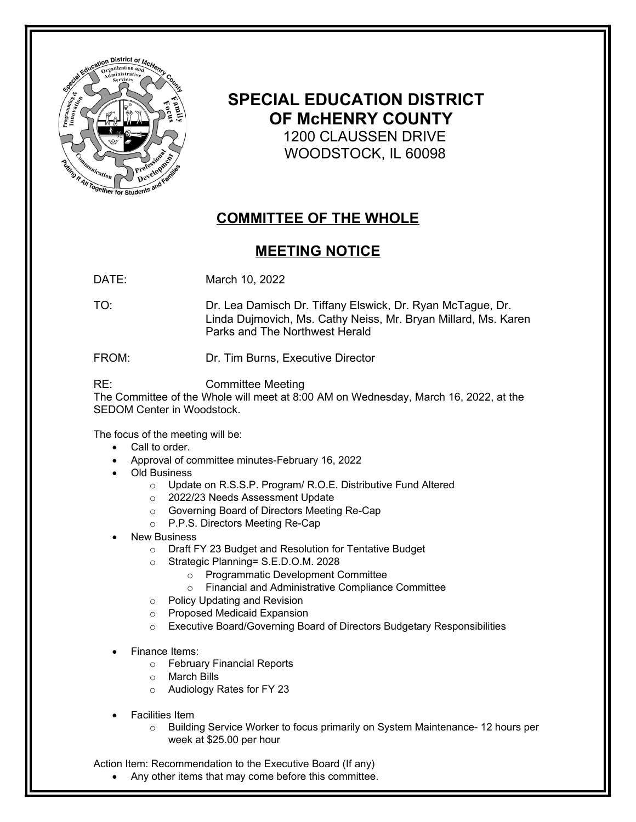

## **SPECIAL EDUCATION DISTRICT OF McHENRY COUNTY** 1200 CLAUSSEN DRIVE WOODSTOCK, IL 60098

## **COMMITTEE OF THE WHOLE**

## **MEETING NOTICE**

DATE: March 10, 2022

TO: Dr. Lea Damisch Dr. Tiffany Elswick, Dr. Ryan McTague, Dr. Linda Dujmovich, Ms. Cathy Neiss, Mr. Bryan Millard, Ms. Karen Parks and The Northwest Herald

FROM: Dr. Tim Burns, Executive Director

## RE: Committee Meeting

The Committee of the Whole will meet at 8:00 AM on Wednesday, March 16, 2022, at the SEDOM Center in Woodstock.

The focus of the meeting will be:

- Call to order.
- Approval of committee minutes-February 16, 2022
- Old Business
	- o Update on R.S.S.P. Program/ R.O.E. Distributive Fund Altered
	- o 2022/23 Needs Assessment Update
	- o Governing Board of Directors Meeting Re-Cap
	- o P.P.S. Directors Meeting Re-Cap
- New Business
	- o Draft FY 23 Budget and Resolution for Tentative Budget
	- o Strategic Planning= S.E.D.O.M. 2028
		- o Programmatic Development Committee
		- o Financial and Administrative Compliance Committee
	- o Policy Updating and Revision
	- o Proposed Medicaid Expansion
	- o Executive Board/Governing Board of Directors Budgetary Responsibilities
- Finance Items:
	- o February Financial Reports
	- o March Bills
	- o Audiology Rates for FY 23
- Facilities Item
	- o Building Service Worker to focus primarily on System Maintenance- 12 hours per week at \$25.00 per hour

Action Item: Recommendation to the Executive Board (If any)

Any other items that may come before this committee.